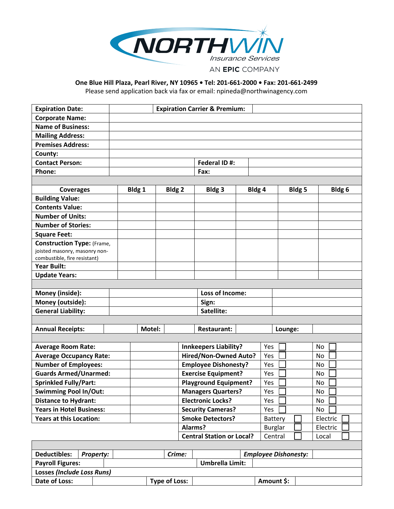

## **One Blue Hill Plaza, Pearl River, NY 10965 • Tel: 201-661-2000 • Fax: 201-661-2499**

Please send application back via fax or email: npineda@northwinagency.com

| <b>Expiration Date:</b>                           |                                         | <b>Expiration Carrier &amp; Premium:</b> |                              |                          |                                  |                              |     |                             |                     |        |    |                   |  |
|---------------------------------------------------|-----------------------------------------|------------------------------------------|------------------------------|--------------------------|----------------------------------|------------------------------|-----|-----------------------------|---------------------|--------|----|-------------------|--|
| <b>Corporate Name:</b>                            |                                         |                                          |                              |                          |                                  |                              |     |                             |                     |        |    |                   |  |
| <b>Name of Business:</b>                          |                                         |                                          |                              |                          |                                  |                              |     |                             |                     |        |    |                   |  |
| <b>Mailing Address:</b>                           |                                         |                                          |                              |                          |                                  |                              |     |                             |                     |        |    |                   |  |
| <b>Premises Address:</b>                          |                                         |                                          |                              |                          |                                  |                              |     |                             |                     |        |    |                   |  |
| County:                                           |                                         |                                          |                              |                          |                                  |                              |     |                             |                     |        |    |                   |  |
| <b>Contact Person:</b>                            |                                         |                                          |                              |                          |                                  | Federal ID#:                 |     |                             |                     |        |    |                   |  |
| Phone:                                            |                                         |                                          |                              |                          |                                  | Fax:                         |     |                             |                     |        |    |                   |  |
|                                                   |                                         |                                          |                              |                          |                                  |                              |     |                             |                     |        |    |                   |  |
| <b>Coverages</b>                                  |                                         |                                          | Bldg 1<br>Bldg <sub>2</sub>  |                          |                                  | Bldg 3                       |     | Bldg 4                      |                     | Bldg 5 |    | Bldg <sub>6</sub> |  |
| <b>Building Value:</b>                            |                                         |                                          |                              |                          |                                  |                              |     |                             |                     |        |    |                   |  |
| <b>Contents Value:</b>                            |                                         |                                          |                              |                          |                                  |                              |     |                             |                     |        |    |                   |  |
| <b>Number of Units:</b>                           |                                         |                                          |                              |                          |                                  |                              |     |                             |                     |        |    |                   |  |
| <b>Number of Stories:</b>                         |                                         |                                          |                              |                          |                                  |                              |     |                             |                     |        |    |                   |  |
| <b>Square Feet:</b>                               |                                         |                                          |                              |                          |                                  |                              |     |                             |                     |        |    |                   |  |
| <b>Construction Type: (Frame,</b>                 |                                         |                                          |                              |                          |                                  |                              |     |                             |                     |        |    |                   |  |
| joisted masonry, masonry non-                     |                                         |                                          |                              |                          |                                  |                              |     |                             |                     |        |    |                   |  |
| combustible, fire resistant)                      |                                         |                                          |                              |                          |                                  |                              |     |                             |                     |        |    |                   |  |
| <b>Year Built:</b>                                |                                         |                                          |                              |                          |                                  |                              |     |                             |                     |        |    |                   |  |
| <b>Update Years:</b>                              |                                         |                                          |                              |                          |                                  |                              |     |                             |                     |        |    |                   |  |
|                                                   |                                         |                                          |                              |                          |                                  |                              |     |                             |                     |        |    |                   |  |
| Money (inside):                                   |                                         |                                          |                              |                          |                                  | Loss of Income:              |     |                             |                     |        |    |                   |  |
| Money (outside):                                  |                                         |                                          |                              |                          |                                  | Sign:                        |     |                             |                     |        |    |                   |  |
|                                                   | <b>General Liability:</b><br>Satellite: |                                          |                              |                          |                                  |                              |     |                             |                     |        |    |                   |  |
|                                                   |                                         |                                          |                              |                          |                                  |                              |     |                             |                     |        |    |                   |  |
| <b>Annual Receipts:</b>                           |                                         |                                          | Motel:                       |                          |                                  | <b>Restaurant:</b>           |     |                             | Lounge:             |        |    |                   |  |
|                                                   |                                         |                                          |                              |                          |                                  |                              |     |                             |                     |        |    |                   |  |
| <b>Average Room Rate:</b>                         |                                         |                                          |                              |                          |                                  | <b>Innkeepers Liability?</b> |     | Yes                         |                     |        |    | No                |  |
| <b>Average Occupancy Rate:</b>                    |                                         |                                          |                              |                          |                                  | Hired/Non-Owned Auto?        | Yes |                             |                     |        | No |                   |  |
| <b>Number of Employees:</b>                       |                                         |                                          |                              |                          |                                  | <b>Employee Dishonesty?</b>  |     | Yes                         |                     |        |    | No                |  |
| <b>Guards Armed/Unarmed:</b>                      |                                         |                                          |                              |                          |                                  | <b>Exercise Equipment?</b>   |     | Yes                         |                     |        |    | No                |  |
| <b>Sprinkled Fully/Part:</b>                      |                                         |                                          | <b>Playground Equipment?</b> |                          |                                  | Yes                          |     |                             |                     | No     |    |                   |  |
| <b>Swimming Pool In/Out:</b>                      |                                         |                                          |                              |                          |                                  | <b>Managers Quarters?</b>    | Yes |                             |                     |        |    | No                |  |
| <b>Distance to Hydrant:</b>                       |                                         |                                          | <b>Electronic Locks?</b>     |                          |                                  |                              | Yes |                             |                     |        | No |                   |  |
| <b>Years in Hotel Business:</b>                   |                                         |                                          |                              | <b>Security Cameras?</b> |                                  |                              | Yes |                             |                     |        | No |                   |  |
| <b>Years at this Location:</b>                    |                                         |                                          |                              |                          | <b>Smoke Detectors?</b>          |                              |     |                             | Electric<br>Battery |        |    |                   |  |
|                                                   |                                         |                                          |                              | Alarms?                  |                                  |                              |     | <b>Burglar</b><br>Electric  |                     |        |    |                   |  |
|                                                   |                                         |                                          |                              |                          | <b>Central Station or Local?</b> |                              |     |                             | Central<br>Local    |        |    |                   |  |
|                                                   |                                         |                                          |                              |                          |                                  |                              |     |                             |                     |        |    |                   |  |
| <b>Deductibles:</b>                               | Property:                               |                                          |                              |                          | Crime:                           |                              |     | <b>Employee Dishonesty:</b> |                     |        |    |                   |  |
| <b>Umbrella Limit:</b><br><b>Payroll Figures:</b> |                                         |                                          |                              |                          |                                  |                              |     |                             |                     |        |    |                   |  |
| <b>Losses (Include Loss Runs)</b>                 |                                         |                                          |                              |                          |                                  |                              |     |                             |                     |        |    |                   |  |

Date of Loss:  $\vert$  **Type of Loss:**  $\vert$  **Amount \$:**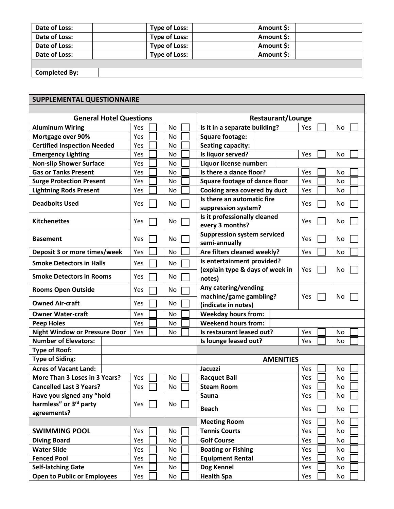| Date of Loss:        | <b>Type of Loss:</b> | Amount \$: |
|----------------------|----------------------|------------|
| Date of Loss:        | <b>Type of Loss:</b> | Amount \$: |
| Date of Loss:        | <b>Type of Loss:</b> | Amount \$: |
| Date of Loss:        | <b>Type of Loss:</b> | Amount \$: |
|                      |                      |            |
| <b>Completed By:</b> |                      |            |

## **SUPPLEMENTAL QUESTIONNAIRE**

| <b>General Hotel Questions</b>       |     |     | <b>Restaurant/Lounge</b>                                      |                  |  |  |  |
|--------------------------------------|-----|-----|---------------------------------------------------------------|------------------|--|--|--|
| <b>Aluminum Wiring</b>               | Yes | No  | Is it in a separate building?                                 | <b>No</b><br>Yes |  |  |  |
| Mortgage over 90%                    | Yes | No  | <b>Square footage:</b>                                        |                  |  |  |  |
| <b>Certified Inspection Needed</b>   | Yes | No  | <b>Seating capacity:</b>                                      |                  |  |  |  |
| <b>Emergency Lighting</b>            | Yes | No  | Is liquor served?                                             | Yes<br>No        |  |  |  |
| <b>Non-slip Shower Surface</b>       | Yes | No  | Liquor license number:                                        |                  |  |  |  |
| <b>Gas or Tanks Present</b>          | Yes | No  | Is there a dance floor?                                       | Yes<br>No        |  |  |  |
| <b>Surge Protection Present</b>      | Yes | No  | <b>Square footage of dance floor</b>                          | No<br>Yes        |  |  |  |
| <b>Lightning Rods Present</b>        | Yes | No  | Cooking area covered by duct                                  | Yes<br>No        |  |  |  |
| <b>Deadbolts Used</b>                | Yes | No. | Is there an automatic fire<br>suppression system?             | Yes<br>No        |  |  |  |
| <b>Kitchenettes</b>                  | Yes | No  | Is it professionally cleaned<br>every 3 months?               | Yes<br>No        |  |  |  |
| <b>Basement</b>                      | Yes | No  | <b>Suppression system serviced</b><br>semi-annually           | Yes<br>No        |  |  |  |
| Deposit 3 or more times/week         | Yes | No  | Are filters cleaned weekly?                                   | Yes<br>No        |  |  |  |
| <b>Smoke Detectors in Halls</b>      | Yes | No  | Is entertainment provided?<br>(explain type & days of week in | Yes<br>No        |  |  |  |
| <b>Smoke Detectors in Rooms</b>      | Yes | No. | notes)                                                        |                  |  |  |  |
| <b>Rooms Open Outside</b>            | Yes | No  | Any catering/vending<br>machine/game gambling?                | No<br>Yes        |  |  |  |
| <b>Owned Air-craft</b>               | Yes | No  | (indicate in notes)                                           |                  |  |  |  |
| <b>Owner Water-craft</b>             | Yes | No  | <b>Weekday hours from:</b>                                    |                  |  |  |  |
| <b>Peep Holes</b>                    | Yes | No  | <b>Weekend hours from:</b>                                    |                  |  |  |  |
| <b>Night Window or Pressure Door</b> | Yes | No  | Is restaurant leased out?                                     | No<br>Yes        |  |  |  |
| <b>Number of Elevators:</b>          |     |     | Is lounge leased out?<br>No<br>Yes                            |                  |  |  |  |
| <b>Type of Roof:</b>                 |     |     |                                                               |                  |  |  |  |
| <b>Type of Siding:</b>               |     |     | <b>AMENITIES</b>                                              |                  |  |  |  |
| <b>Acres of Vacant Land:</b>         |     |     | Jacuzzi                                                       | No<br>Yes        |  |  |  |
| More Than 3 Loses in 3 Years?        | Yes | No  | <b>Racquet Ball</b>                                           | No<br>Yes        |  |  |  |
| <b>Cancelled Last 3 Years?</b>       | Yes | No  | <b>Steam Room</b>                                             | Yes<br>No        |  |  |  |
| Have you signed any "hold            |     |     | Sauna                                                         | Yes<br>No        |  |  |  |
| harmless" or 3 <sup>rd</sup> party   | Yes | No  | <b>Beach</b>                                                  | Yes<br>No        |  |  |  |
| agreements?                          |     |     |                                                               |                  |  |  |  |
|                                      |     |     | <b>Meeting Room</b>                                           | Yes<br>No        |  |  |  |
| <b>SWIMMING POOL</b>                 | Yes | No  | <b>Tennis Courts</b>                                          | No<br>Yes        |  |  |  |
| <b>Diving Board</b>                  | Yes | No  | <b>Golf Course</b>                                            | Yes<br>No        |  |  |  |
| <b>Water Slide</b>                   | Yes | No  | <b>Boating or Fishing</b>                                     | Yes<br>No        |  |  |  |
| <b>Fenced Pool</b>                   | Yes | No  | <b>Equipment Rental</b>                                       | Yes<br><b>No</b> |  |  |  |
| <b>Self-latching Gate</b>            | Yes | No  | Dog Kennel                                                    | Yes<br>No        |  |  |  |
| <b>Open to Public or Employees</b>   | Yes | No  | <b>Health Spa</b>                                             | Yes<br>No        |  |  |  |